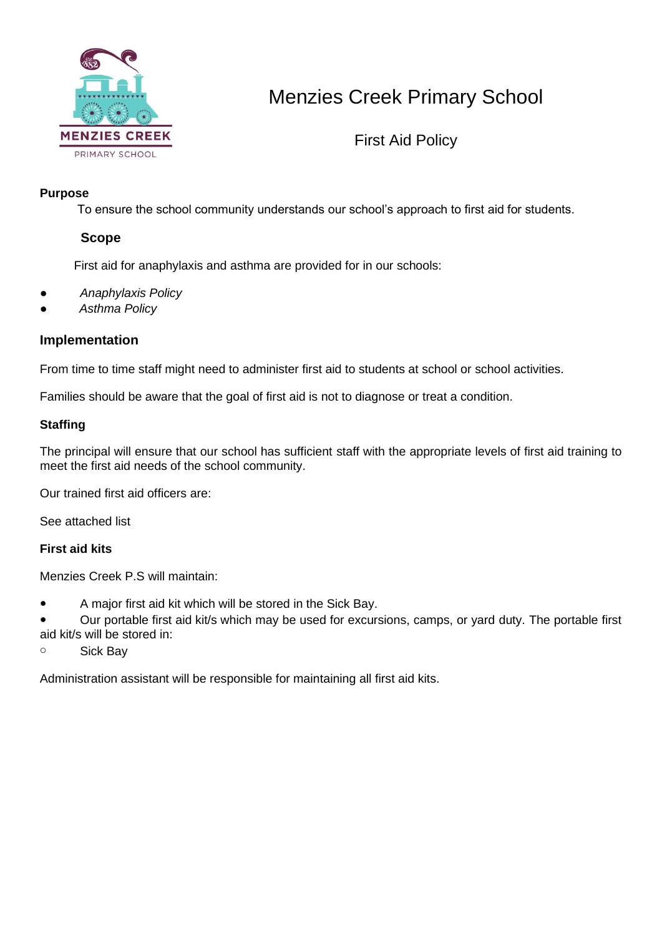

# Menzies Creek Primary School

First Aid Policy

### **Purpose**

To ensure the school community understands our school's approach to first aid for students.

### **Scope**

First aid for anaphylaxis and asthma are provided for in our schools:

- *Anaphylaxis Policy*
- *Asthma Policy*

### **Implementation**

From time to time staff might need to administer first aid to students at school or school activities.

Families should be aware that the goal of first aid is not to diagnose or treat a condition.

### **Staffing**

The principal will ensure that our school has sufficient staff with the appropriate levels of first aid training to meet the first aid needs of the school community.

Our trained first aid officers are:

See attached list

### **First aid kits**

Menzies Creek P.S will maintain:

● A major first aid kit which will be stored in the Sick Bay.

● Our portable first aid kit/s which may be used for excursions, camps, or yard duty. The portable first aid kit/s will be stored in:

o Sick Bay

Administration assistant will be responsible for maintaining all first aid kits.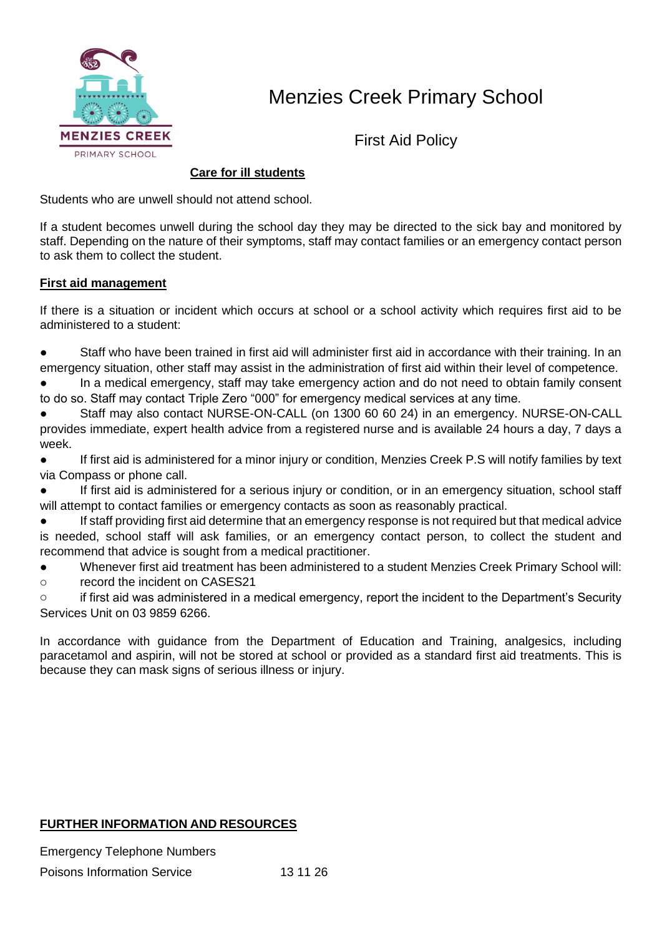

## Menzies Creek Primary School

First Aid Policy

### **Care for ill students**

Students who are unwell should not attend school.

If a student becomes unwell during the school day they may be directed to the sick bay and monitored by staff. Depending on the nature of their symptoms, staff may contact families or an emergency contact person to ask them to collect the student.

#### **First aid management**

If there is a situation or incident which occurs at school or a school activity which requires first aid to be administered to a student:

- Staff who have been trained in first aid will administer first aid in accordance with their training. In an emergency situation, other staff may assist in the administration of first aid within their level of competence.
- In a medical emergency, staff may take emergency action and do not need to obtain family consent to do so. Staff may contact Triple Zero "000" for emergency medical services at any time.
- Staff may also contact NURSE-ON-CALL (on 1300 60 60 24) in an emergency. NURSE-ON-CALL provides immediate, expert health advice from a registered nurse and is available 24 hours a day, 7 days a week.
- If first aid is administered for a minor injury or condition, Menzies Creek P.S will notify families by text via Compass or phone call.
- If first aid is administered for a serious injury or condition, or in an emergency situation, school staff will attempt to contact families or emergency contacts as soon as reasonably practical.
- If staff providing first aid determine that an emergency response is not required but that medical advice is needed, school staff will ask families, or an emergency contact person, to collect the student and recommend that advice is sought from a medical practitioner.
- Whenever first aid treatment has been administered to a student Menzies Creek Primary School will:
- o record the incident on CASES21
- o if first aid was administered in a medical emergency, report the incident to the Department's Security Services Unit on 03 9859 6266.

In accordance with guidance from the Department of Education and Training, analgesics, including paracetamol and aspirin, will not be stored at school or provided as a standard first aid treatments. This is because they can mask signs of serious illness or injury.

### **FURTHER INFORMATION AND RESOURCES**

Emergency Telephone Numbers